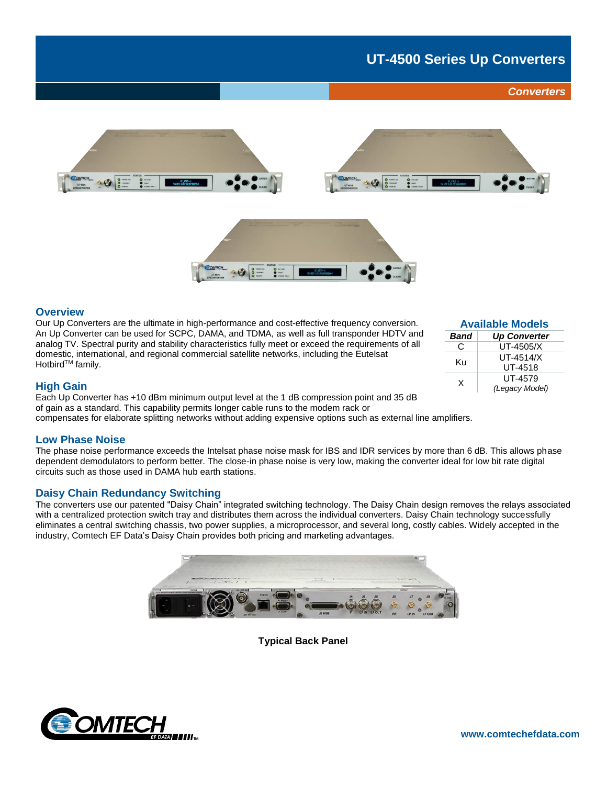# **UT-4500 Series Up Converters**

## *Converters*







#### **Overview**

Our Up Converters are the ultimate in high-performance and cost-effective frequency conversion. An Up Converter can be used for SCPC, DAMA, and TDMA, as well as full transponder HDTV and analog TV. Spectral purity and stability characteristics fully meet or exceed the requirements of all domestic, international, and regional commercial satellite networks, including the Eutelsat Hotbird<sup>™</sup> family.

| <b>Available Models</b> |                     |
|-------------------------|---------------------|
| <b>Band</b>             | <b>Up Converter</b> |
| C                       | UT-4505/X           |
| Ku                      | UT-4514/X           |
|                         | UT-4518             |
| X                       | UT-4579             |
|                         | (Legacy Model)      |

## **High Gain**

Each Up Converter has +10 dBm minimum output level at the 1 dB compression point and 35 dB of gain as a standard. This capability permits longer cable runs to the modem rack or compensates for elaborate splitting networks without adding expensive options such as external line amplifiers.

#### **Low Phase Noise**

The phase noise performance exceeds the Intelsat phase noise mask for IBS and IDR services by more than 6 dB. This allows phase dependent demodulators to perform better. The close-in phase noise is very low, making the converter ideal for low bit rate digital circuits such as those used in DAMA hub earth stations.

## **Daisy Chain Redundancy Switching**

The converters use our patented "Daisy Chain" integrated switching technology. The Daisy Chain design removes the relays associated with a centralized protection switch tray and distributes them across the individual converters. Daisy Chain technology successfully eliminates a central switching chassis, two power supplies, a microprocessor, and several long, costly cables. Widely accepted in the industry, Comtech EF Data's Daisy Chain provides both pricing and marketing advantages.



**Typical Back Panel**

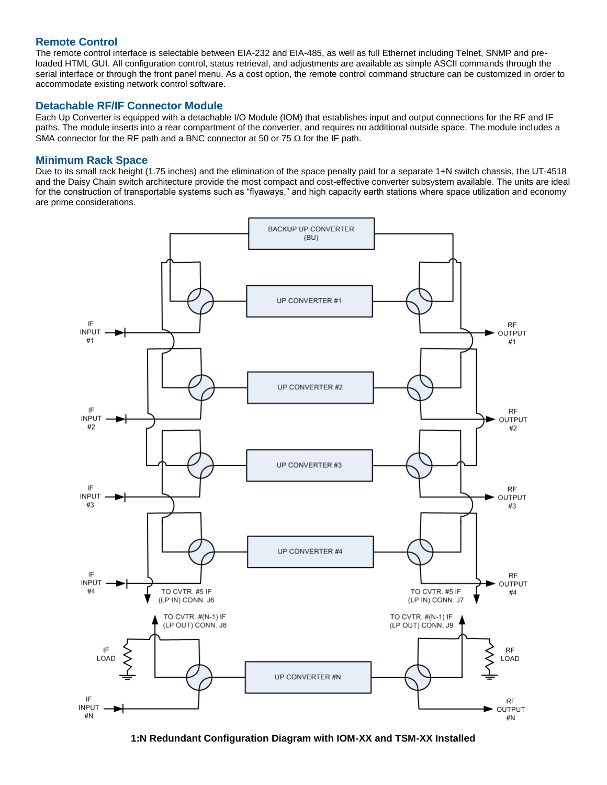## **Remote Control**

The remote control interface is selectable between EIA-232 and EIA-485, as well as full Ethernet including Telnet, SNMP and preloaded HTML GUI. All configuration control, status retrieval, and adjustments are available as simple ASCII commands through the serial interface or through the front panel menu. As a cost option, the remote control command structure can be customized in order to accommodate existing network control software.

## **Detachable RF/IF Connector Module**

Each Up Converter is equipped with a detachable I/O Module (IOM) that establishes input and output connections for the RF and IF paths. The module inserts into a rear compartment of the converter, and requires no additional outside space. The module includes a SMA connector for the RF path and a BNC connector at 50 or 75  $\Omega$  for the IF path.

### **Minimum Rack Space**

Due to its small rack height (1.75 inches) and the elimination of the space penalty paid for a separate 1+N switch chassis, the UT-4518 and the Daisy Chain switch architecture provide the most compact and cost-effective converter subsystem available. The units are ideal for the construction of transportable systems such as "flyaways," and high capacity earth stations where space utilization and economy are prime considerations.



**1:N Redundant Configuration Diagram with IOM-XX and TSM-XX Installed**